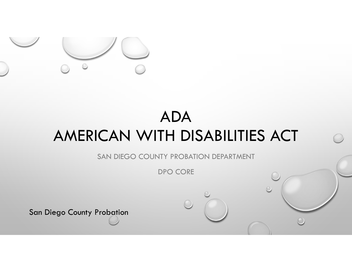

# ADA AMERICAN WITH DISABILITIES ACT

SAN DIEGO COUNTY PROBATION DEPARTMENT

DPO CORE

 $\bigcirc$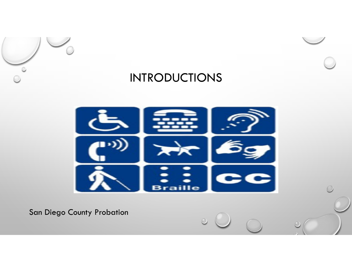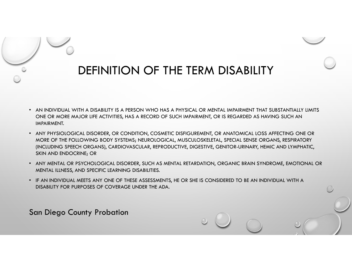### DEFINITION OF THE TERM DISABILITY

- AN INDIVIDUAL WITH A DISABILITY IS A PERSON WHO HAS A PHYSICAL OR MENTAL IMPAIRMENT THAT SUBSTANTIALLY LIMITS ONE OR MORE MAJOR LIFE ACTIVITIES, HAS A RECORD OF SUCH IMPAIRMENT, OR IS REGARDED AS HAVING SUCH AN IMPAIRMENT.
- ANY PHYSIOLOGICAL DISORDER, OR CONDITION, COSMETIC DISFIGUREMENT, OR ANATOMICAL LOSS AFFECTING ONE OR MORE OF THE FOLLOWING BODY SYSTEMS; NEUROLOGICAL, MUSCULOSKELETAL, SPECIAL SENSE ORGANS, RESPIRATORY (INCLUDING SPEECH ORGANS), CARDIOVASCULAR, REPRODUCTIVE, DIGESTIVE, GENITOR-URINARY, HEMIC AND LYMPHATIC, SKIN AND ENDOCRINE; OR
- ANY MENTAL OR PSYCHOLOGICAL DISORDER, SUCH AS MENTAL RETARDATION, ORGANIC BRAIN SYNDROME, EMOTIONAL OR MENTAL ILLNESS, AND SPECIFIC LEARNING DISABILITIES.
- IF AN INDIVIDUAL MEETS ANY ONE OF THESE ASSESSMENTS, HE OR SHE IS CONSIDERED TO BE AN INDIVIDUAL WITH A DISABILITY FOR PURPOSES OF COVERAGE UNDER THE ADA.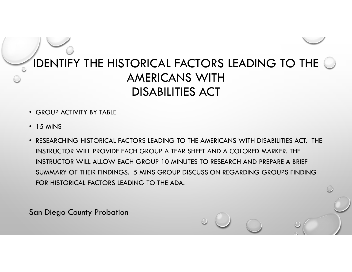## IDENTIFY THE HISTORICAL FACTORS LEADING TO THE AMERICANS WITH DISABILITIES ACT

- GROUP ACTIVITY BY TABLE
- 15 MINS
- RESEARCHING HISTORICAL FACTORS LEADING TO THE AMERICANS WITH DISABILITIES ACT. THE INSTRUCTOR WILL PROVIDE EACH GROUP A TEAR SHEET AND A COLORED MARKER. THE INSTRUCTOR WILL ALLOW EACH GROUP 10 MINUTES TO RESEARCH AND PREPARE A BRIEF SUMMARY OF THEIR FINDINGS. 5 MINS GROUP DISCUSSION REGARDING GROUPS FINDING FOR HISTORICAL FACTORS LEADING TO THE ADA.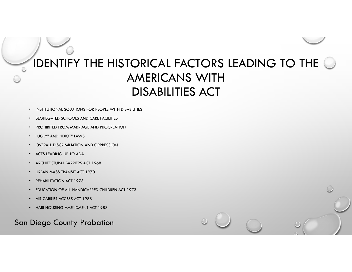### IDENTIFY THE HISTORICAL FACTORS LEADING TO THE AMERICANS WITH DISABILITIES ACT

#### •INSTITUTIONAL SOLUTIONS FOR PEOPLE WITH DISABILITIES

- SEGREGATED SCHOOLS AND CARE FACILITIES
- PROHIBITED FROM MARRIAGE AND PROCREATION
- •"UGLY" AND "IDIOT" LAWS
- OVERALL DISCRIMINATION AND OPPRESSION.
- ACTS LEADING UP TO ADA
- ARCHITECTURAL BARRIERS ACT 1968
- •URBAN MASS TRANSIT ACT 1970
- •REHABILITATION ACT 1973
- EDUCATION OF ALL HANDICAPPED CHILDREN ACT 1973
- AIR CARRIER ACCESS ACT 1988
- HARI HOUSING AMENDMENT ACT 1988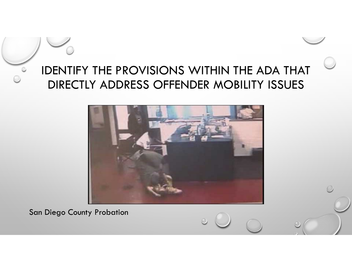### IDENTIFY THE PROVISIONS WITHIN THE ADA THAT DIRECTLY ADDRESS OFFENDER MOBILITY ISSUES

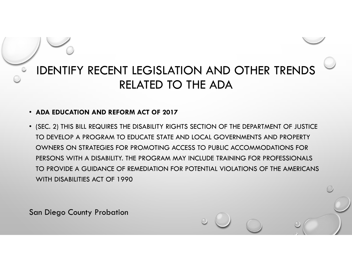### IDENTIFY RECENT LEGISLATION AND OTHER TRENDS RELATED TO THE ADA

#### • **ADA EDUCATION AND REFORM ACT OF 2017**

• (SEC. 2) THIS BILL REQUIRES THE DISABILITY RIGHTS SECTION OF THE DEPARTMENT OF JUSTICE TO DEVELOP A PROGRAM TO EDUCATE STATE AND LOCAL GOVERNMENTS AND PROPERTY OWNERS ON STRATEGIES FOR PROMOTING ACCESS TO PUBLIC ACCOMMODATIONS FOR PERSONS WITH A DISABILITY. THE PROGRAM MAY INCLUDE TRAINING FOR PROFESSIONALS TO PROVIDE A GUIDANCE OF REMEDIATION FOR POTENTIAL VIOLATIONS OF THE AMERICANS WITH DISABILITIES ACT OF 1990